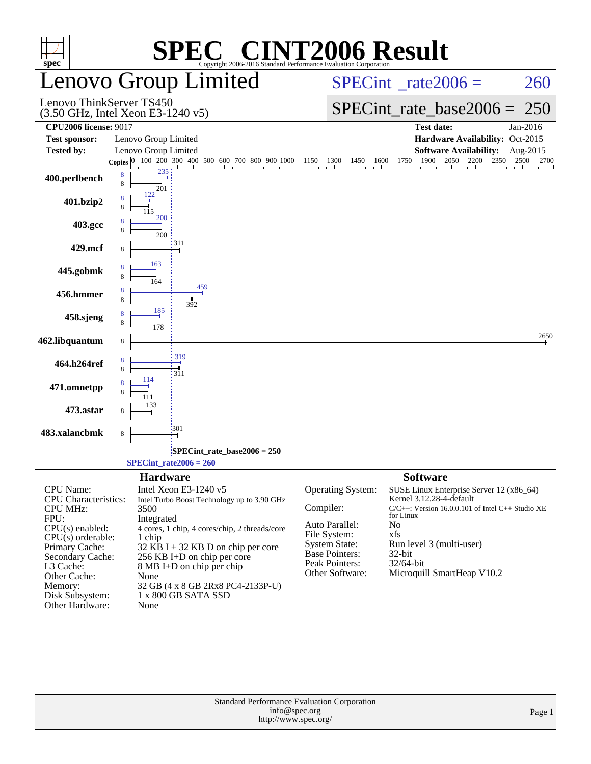| $spec^*$                                                                                                                                                                                                                     | $\left[\begin{array}{cc} \text{I}(\mathbb{R}) & \end{array}\right]$<br>K,<br>Copyright 2006-2016 Standard Performance Evaluation Corporation                                                                                                                                                                                                             | <b>INT2006 Result</b>                                                                                                                                  |                                                                                                                                                                                                                                                             |  |  |  |  |
|------------------------------------------------------------------------------------------------------------------------------------------------------------------------------------------------------------------------------|----------------------------------------------------------------------------------------------------------------------------------------------------------------------------------------------------------------------------------------------------------------------------------------------------------------------------------------------------------|--------------------------------------------------------------------------------------------------------------------------------------------------------|-------------------------------------------------------------------------------------------------------------------------------------------------------------------------------------------------------------------------------------------------------------|--|--|--|--|
|                                                                                                                                                                                                                              | Lenovo Group Limited                                                                                                                                                                                                                                                                                                                                     |                                                                                                                                                        | $SPECint^{\circ}$ rate $2006 =$<br>260                                                                                                                                                                                                                      |  |  |  |  |
|                                                                                                                                                                                                                              | Lenovo ThinkServer TS450<br>$(3.50 \text{ GHz}, \text{Intel Xeon E}3-1240 \text{ v}5)$                                                                                                                                                                                                                                                                   |                                                                                                                                                        | $SPECint_rate_base2006 =$<br>250                                                                                                                                                                                                                            |  |  |  |  |
| <b>CPU2006</b> license: 9017                                                                                                                                                                                                 |                                                                                                                                                                                                                                                                                                                                                          |                                                                                                                                                        | <b>Test date:</b><br>Jan-2016                                                                                                                                                                                                                               |  |  |  |  |
| <b>Test sponsor:</b>                                                                                                                                                                                                         | Lenovo Group Limited                                                                                                                                                                                                                                                                                                                                     |                                                                                                                                                        | Hardware Availability: Oct-2015                                                                                                                                                                                                                             |  |  |  |  |
| <b>Tested by:</b>                                                                                                                                                                                                            | Lenovo Group Limited<br>Copies $ 0 $                                                                                                                                                                                                                                                                                                                     |                                                                                                                                                        | <b>Software Availability:</b><br>Aug-2015<br>2700                                                                                                                                                                                                           |  |  |  |  |
| 400.perlbench                                                                                                                                                                                                                | $\frac{100}{200}$ $\frac{200}{300}$ $\frac{400}{400}$ $\frac{500}{600}$ $\frac{600}{700}$ $\frac{800}{900}$ $\frac{900}{1000}$ $\frac{1150}{1150}$ $\frac{1300}{1450}$ $\frac{1450}{1600}$ $\frac{1750}{1750}$ $\frac{1900}{1900}$ $\frac{2050}{200}$ $\frac{2200}{2350}$ $\frac{2500}{10$<br>8<br>8<br>201                                              |                                                                                                                                                        |                                                                                                                                                                                                                                                             |  |  |  |  |
| 401.bzip2                                                                                                                                                                                                                    |                                                                                                                                                                                                                                                                                                                                                          |                                                                                                                                                        |                                                                                                                                                                                                                                                             |  |  |  |  |
| 403.gcc                                                                                                                                                                                                                      | 200<br>200                                                                                                                                                                                                                                                                                                                                               |                                                                                                                                                        |                                                                                                                                                                                                                                                             |  |  |  |  |
| 429.mcf                                                                                                                                                                                                                      | 311<br>163                                                                                                                                                                                                                                                                                                                                               |                                                                                                                                                        |                                                                                                                                                                                                                                                             |  |  |  |  |
| 445.gobmk                                                                                                                                                                                                                    | 164<br>459                                                                                                                                                                                                                                                                                                                                               |                                                                                                                                                        |                                                                                                                                                                                                                                                             |  |  |  |  |
| 456.hmmer                                                                                                                                                                                                                    | 392<br>185                                                                                                                                                                                                                                                                                                                                               |                                                                                                                                                        |                                                                                                                                                                                                                                                             |  |  |  |  |
| 458.sjeng                                                                                                                                                                                                                    | 178                                                                                                                                                                                                                                                                                                                                                      |                                                                                                                                                        | 2650                                                                                                                                                                                                                                                        |  |  |  |  |
| 462.libquantum                                                                                                                                                                                                               | 8<br>319                                                                                                                                                                                                                                                                                                                                                 |                                                                                                                                                        |                                                                                                                                                                                                                                                             |  |  |  |  |
| 464.h264ref                                                                                                                                                                                                                  | 311                                                                                                                                                                                                                                                                                                                                                      |                                                                                                                                                        |                                                                                                                                                                                                                                                             |  |  |  |  |
| 471.omnetpp<br>473.astar                                                                                                                                                                                                     |                                                                                                                                                                                                                                                                                                                                                          |                                                                                                                                                        |                                                                                                                                                                                                                                                             |  |  |  |  |
| 483.xalancbmk                                                                                                                                                                                                                | 301<br>8                                                                                                                                                                                                                                                                                                                                                 |                                                                                                                                                        |                                                                                                                                                                                                                                                             |  |  |  |  |
|                                                                                                                                                                                                                              | SPECint_rate_base2006 = 250                                                                                                                                                                                                                                                                                                                              |                                                                                                                                                        |                                                                                                                                                                                                                                                             |  |  |  |  |
|                                                                                                                                                                                                                              | $SPECint_rate2006 = 260$                                                                                                                                                                                                                                                                                                                                 |                                                                                                                                                        |                                                                                                                                                                                                                                                             |  |  |  |  |
| CPU Name:<br><b>CPU</b> Characteristics:<br>CPU MHz:<br>FPU:<br>$CPU(s)$ enabled:<br>$CPU(s)$ orderable:<br>Primary Cache:<br>Secondary Cache:<br>L3 Cache:<br>Other Cache:<br>Memory:<br>Disk Subsystem:<br>Other Hardware: | <b>Hardware</b><br>Intel Xeon E3-1240 v5<br>Intel Turbo Boost Technology up to 3.90 GHz<br>3500<br>Integrated<br>4 cores, 1 chip, 4 cores/chip, 2 threads/core<br>1 chip<br>$32$ KB I + 32 KB D on chip per core<br>256 KB I+D on chip per core<br>8 MB I+D on chip per chip<br>None<br>32 GB (4 x 8 GB 2Rx8 PC4-2133P-U)<br>1 x 800 GB SATA SSD<br>None | Operating System:<br>Compiler:<br>Auto Parallel:<br>File System:<br><b>System State:</b><br><b>Base Pointers:</b><br>Peak Pointers:<br>Other Software: | <b>Software</b><br>SUSE Linux Enterprise Server 12 (x86_64)<br>Kernel 3.12.28-4-default<br>$C/C++$ : Version 16.0.0.101 of Intel $C++$ Studio XE<br>for Linux<br>No<br>xfs<br>Run level 3 (multi-user)<br>32-bit<br>32/64-bit<br>Microquill SmartHeap V10.2 |  |  |  |  |
|                                                                                                                                                                                                                              |                                                                                                                                                                                                                                                                                                                                                          |                                                                                                                                                        |                                                                                                                                                                                                                                                             |  |  |  |  |
|                                                                                                                                                                                                                              | Standard Performance Evaluation Corporation<br>info@spec.org<br>http://www.spec.org/                                                                                                                                                                                                                                                                     |                                                                                                                                                        | Page 1                                                                                                                                                                                                                                                      |  |  |  |  |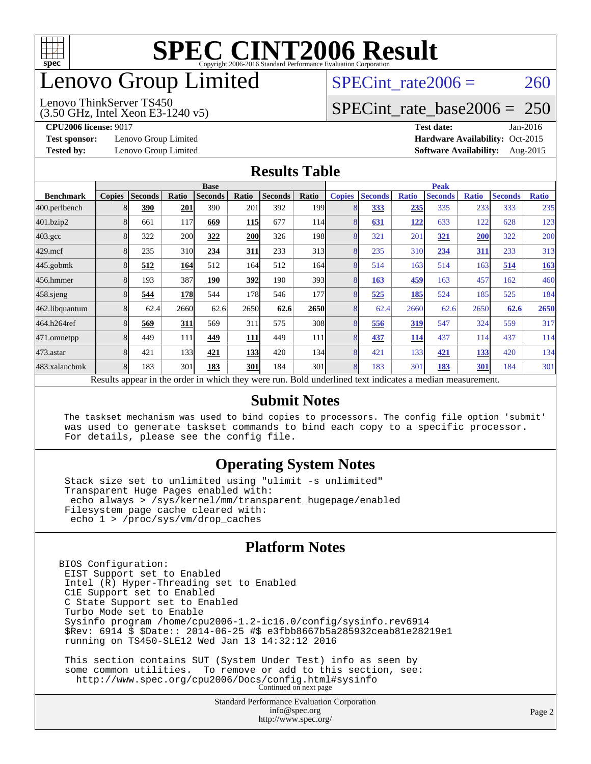

### enovo Group Limited

#### Lenovo ThinkServer TS450

(3.50 GHz, Intel Xeon E3-1240 v5)

SPECint rate $2006 = 260$ 

#### [SPECint\\_rate\\_base2006 =](http://www.spec.org/auto/cpu2006/Docs/result-fields.html#SPECintratebase2006) 250

**[Test sponsor:](http://www.spec.org/auto/cpu2006/Docs/result-fields.html#Testsponsor)** Lenovo Group Limited **[Hardware Availability:](http://www.spec.org/auto/cpu2006/Docs/result-fields.html#HardwareAvailability)** Oct-2015

**[CPU2006 license:](http://www.spec.org/auto/cpu2006/Docs/result-fields.html#CPU2006license)** 9017 **[Test date:](http://www.spec.org/auto/cpu2006/Docs/result-fields.html#Testdate)** Jan-2016 **[Tested by:](http://www.spec.org/auto/cpu2006/Docs/result-fields.html#Testedby)** Lenovo Group Limited **[Software Availability:](http://www.spec.org/auto/cpu2006/Docs/result-fields.html#SoftwareAvailability)** Aug-2015

#### **[Results Table](http://www.spec.org/auto/cpu2006/Docs/result-fields.html#ResultsTable)**

|                                                                                                          | <b>Base</b>   |                |       |                |            |                | <b>Peak</b>      |               |                |              |                |              |                |              |
|----------------------------------------------------------------------------------------------------------|---------------|----------------|-------|----------------|------------|----------------|------------------|---------------|----------------|--------------|----------------|--------------|----------------|--------------|
| <b>Benchmark</b>                                                                                         | <b>Copies</b> | <b>Seconds</b> | Ratio | <b>Seconds</b> | Ratio      | <b>Seconds</b> | Ratio            | <b>Copies</b> | <b>Seconds</b> | <b>Ratio</b> | <b>Seconds</b> | <b>Ratio</b> | <b>Seconds</b> | <b>Ratio</b> |
| 400.perlbench                                                                                            | 8             | 390            | 201   | 390            | 201        | 392            | 199 <sub>1</sub> | 8             | 333            | 235          | 335            | 233          | 333            | 235          |
| 401.bzip2                                                                                                | 8             | 661            | 117   | 669            | <b>115</b> | 677            | 114              | 8             | 631            | 122          | 633            | 122          | 628            | 123          |
| $403.\mathrm{gcc}$                                                                                       | 8             | 322            | 200   | 322            | 200        | 326            | 198 <sup>1</sup> | 8             | 321            | 201          | 321            | 200          | 322            | 200          |
| $429$ .mcf                                                                                               | 8             | 235            | 310   | 234            | 311        | 233            | 313              | 8             | 235            | 310          | 234            | 311          | 233            | 313          |
| $445$ .gobm $k$                                                                                          | 8             | 512            | 164   | 512            | 164        | 512            | 164l             | 8             | 514            | 163          | 514            | 163          | 514            | <b>163</b>   |
| 456.hmmer                                                                                                | 8             | 193            | 387   | 190            | 392        | 190            | 393 <sup>I</sup> | 8             | 163            | 459          | 163            | 457          | 162            | 460          |
| $458$ .sjeng                                                                                             | 8             | 544            | 178   | 544            | 178I       | 546            | 177              | 8             | 525            | 185          | 524            | 185          | 525            | 184          |
| 462.libquantum                                                                                           | 8             | 62.4           | 2660  | 62.6           | 2650       | 62.6           | 2650             | 8             | 62.4           | 2660         | 62.6           | 2650         | 62.6           | 2650         |
| 464.h264ref                                                                                              | 8             | 569            | 311   | 569            | 311        | 575            | 308              | 8             | 556            | 319          | 547            | 324          | 559            | 317          |
| 471.omnetpp                                                                                              | 8             | 449            | 111   | 449            | <b>111</b> | 449            | 111              | 8             | 437            | 114          | 437            | 114          | 437            | 114          |
| $473$ . astar                                                                                            | 8             | 421            | 133   | 421            | <b>133</b> | 420            | 134              | 8             | 421            | 133          | 421            | 133          | 420            | 134          |
| 483.xalancbmk                                                                                            | 8             | 183            | 301   | 183            | 301        | 184            | 301              | 8             | 183            | 301          | 183            | 301          | 184            | 301          |
| Results appear in the order in which they were run. Bold underlined text indicates a median measurement. |               |                |       |                |            |                |                  |               |                |              |                |              |                |              |

#### **[Submit Notes](http://www.spec.org/auto/cpu2006/Docs/result-fields.html#SubmitNotes)**

 The taskset mechanism was used to bind copies to processors. The config file option 'submit' was used to generate taskset commands to bind each copy to a specific processor. For details, please see the config file.

#### **[Operating System Notes](http://www.spec.org/auto/cpu2006/Docs/result-fields.html#OperatingSystemNotes)**

 Stack size set to unlimited using "ulimit -s unlimited" Transparent Huge Pages enabled with: echo always > /sys/kernel/mm/transparent\_hugepage/enabled Filesystem page cache cleared with: echo 1 > /proc/sys/vm/drop\_caches

#### **[Platform Notes](http://www.spec.org/auto/cpu2006/Docs/result-fields.html#PlatformNotes)**

BIOS Configuration: EIST Support set to Enabled Intel (R) Hyper-Threading set to Enabled C1E Support set to Enabled C State Support set to Enabled Turbo Mode set to Enable Sysinfo program /home/cpu2006-1.2-ic16.0/config/sysinfo.rev6914 \$Rev: 6914 \$ \$Date:: 2014-06-25 #\$ e3fbb8667b5a285932ceab81e28219e1 running on TS450-SLE12 Wed Jan 13 14:32:12 2016 This section contains SUT (System Under Test) info as seen by

 some common utilities. To remove or add to this section, see: <http://www.spec.org/cpu2006/Docs/config.html#sysinfo> Continued on next page

> Standard Performance Evaluation Corporation [info@spec.org](mailto:info@spec.org) <http://www.spec.org/>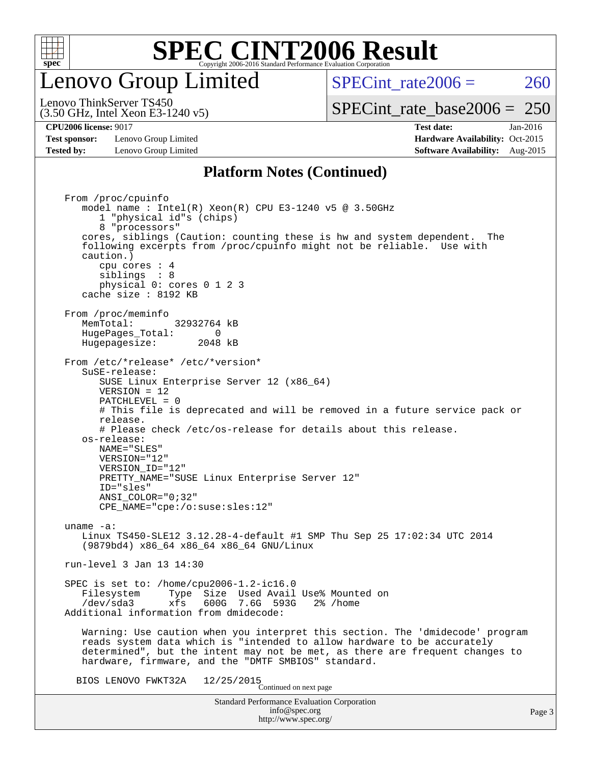

#### enovo Group Limited

SPECint rate $2006 = 260$ 

(3.50 GHz, Intel Xeon E3-1240 v5) Lenovo ThinkServer TS450

#### [SPECint\\_rate\\_base2006 =](http://www.spec.org/auto/cpu2006/Docs/result-fields.html#SPECintratebase2006) 250

**[Test sponsor:](http://www.spec.org/auto/cpu2006/Docs/result-fields.html#Testsponsor)** Lenovo Group Limited **[Hardware Availability:](http://www.spec.org/auto/cpu2006/Docs/result-fields.html#HardwareAvailability)** Oct-2015 **[Tested by:](http://www.spec.org/auto/cpu2006/Docs/result-fields.html#Testedby)** Lenovo Group Limited **[Software Availability:](http://www.spec.org/auto/cpu2006/Docs/result-fields.html#SoftwareAvailability)** Aug-2015

**[CPU2006 license:](http://www.spec.org/auto/cpu2006/Docs/result-fields.html#CPU2006license)** 9017 **[Test date:](http://www.spec.org/auto/cpu2006/Docs/result-fields.html#Testdate)** Jan-2016

#### **[Platform Notes \(Continued\)](http://www.spec.org/auto/cpu2006/Docs/result-fields.html#PlatformNotes)**

Standard Performance Evaluation Corporation [info@spec.org](mailto:info@spec.org) <http://www.spec.org/> From /proc/cpuinfo model name : Intel(R) Xeon(R) CPU E3-1240 v5 @ 3.50GHz 1 "physical id"s (chips) 8 "processors" cores, siblings (Caution: counting these is hw and system dependent. The following excerpts from /proc/cpuinfo might not be reliable. Use with caution.) cpu cores : 4 siblings : 8 physical 0: cores 0 1 2 3 cache size : 8192 KB From /proc/meminfo MemTotal: 32932764 kB HugePages\_Total: 0<br>Hugepagesize: 2048 kB Hugepagesize: From /etc/\*release\* /etc/\*version\* SuSE-release: SUSE Linux Enterprise Server 12 (x86\_64) VERSION = 12 PATCHLEVEL = 0 # This file is deprecated and will be removed in a future service pack or release. # Please check /etc/os-release for details about this release. os-release: NAME="SLES" VERSION="12" VERSION\_ID="12" PRETTY\_NAME="SUSE Linux Enterprise Server 12" ID="sles" ANSI\_COLOR="0;32" CPE\_NAME="cpe:/o:suse:sles:12" uname -a: Linux TS450-SLE12 3.12.28-4-default #1 SMP Thu Sep 25 17:02:34 UTC 2014 (9879bd4) x86\_64 x86\_64 x86\_64 GNU/Linux run-level 3 Jan 13 14:30 SPEC is set to: /home/cpu2006-1.2-ic16.0 Filesystem Type Size Used Avail Use% Mounted on<br>
/dev/sda3 xfs 600G 7.6G 593G 2% /home 600G 7.6G 593G Additional information from dmidecode: Warning: Use caution when you interpret this section. The 'dmidecode' program reads system data which is "intended to allow hardware to be accurately determined", but the intent may not be met, as there are frequent changes to hardware, firmware, and the "DMTF SMBIOS" standard. BIOS LENOVO FWKT32A  $12/25/2015$ <br>Continued on next page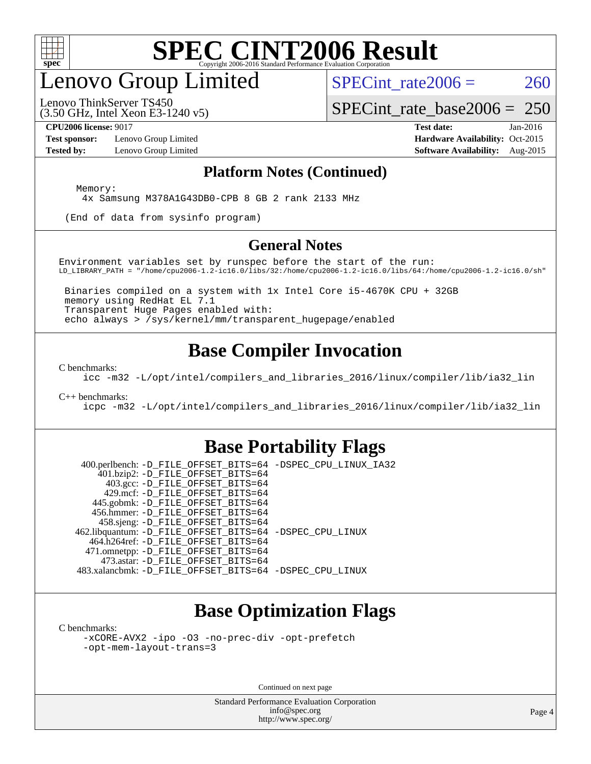

### enovo Group Limited

SPECint rate $2006 = 260$ 

(3.50 GHz, Intel Xeon E3-1240 v5) Lenovo ThinkServer TS450

[SPECint\\_rate\\_base2006 =](http://www.spec.org/auto/cpu2006/Docs/result-fields.html#SPECintratebase2006) 250

**[Test sponsor:](http://www.spec.org/auto/cpu2006/Docs/result-fields.html#Testsponsor)** Lenovo Group Limited **[Hardware Availability:](http://www.spec.org/auto/cpu2006/Docs/result-fields.html#HardwareAvailability)** Oct-2015

**[CPU2006 license:](http://www.spec.org/auto/cpu2006/Docs/result-fields.html#CPU2006license)** 9017 **[Test date:](http://www.spec.org/auto/cpu2006/Docs/result-fields.html#Testdate)** Jan-2016 **[Tested by:](http://www.spec.org/auto/cpu2006/Docs/result-fields.html#Testedby)** Lenovo Group Limited **[Software Availability:](http://www.spec.org/auto/cpu2006/Docs/result-fields.html#SoftwareAvailability)** Aug-2015

#### **[Platform Notes \(Continued\)](http://www.spec.org/auto/cpu2006/Docs/result-fields.html#PlatformNotes)**

Memory:

4x Samsung M378A1G43DB0-CPB 8 GB 2 rank 2133 MHz

(End of data from sysinfo program)

#### **[General Notes](http://www.spec.org/auto/cpu2006/Docs/result-fields.html#GeneralNotes)**

Environment variables set by runspec before the start of the run: LD\_LIBRARY\_PATH = "/home/cpu2006-1.2-ic16.0/libs/32:/home/cpu2006-1.2-ic16.0/libs/64:/home/cpu2006-1.2-ic16.0/sh"

 Binaries compiled on a system with 1x Intel Core i5-4670K CPU + 32GB memory using RedHat EL 7.1 Transparent Huge Pages enabled with: echo always > /sys/kernel/mm/transparent\_hugepage/enabled

#### **[Base Compiler Invocation](http://www.spec.org/auto/cpu2006/Docs/result-fields.html#BaseCompilerInvocation)**

[C benchmarks](http://www.spec.org/auto/cpu2006/Docs/result-fields.html#Cbenchmarks):

[icc -m32 -L/opt/intel/compilers\\_and\\_libraries\\_2016/linux/compiler/lib/ia32\\_lin](http://www.spec.org/cpu2006/results/res2016q1/cpu2006-20160125-38903.flags.html#user_CCbase_intel_icc_e10256ba5924b668798078a321b0cb3f)

#### [C++ benchmarks:](http://www.spec.org/auto/cpu2006/Docs/result-fields.html#CXXbenchmarks)

[icpc -m32 -L/opt/intel/compilers\\_and\\_libraries\\_2016/linux/compiler/lib/ia32\\_lin](http://www.spec.org/cpu2006/results/res2016q1/cpu2006-20160125-38903.flags.html#user_CXXbase_intel_icpc_b4f50a394bdb4597aa5879c16bc3f5c5)

#### **[Base Portability Flags](http://www.spec.org/auto/cpu2006/Docs/result-fields.html#BasePortabilityFlags)**

 400.perlbench: [-D\\_FILE\\_OFFSET\\_BITS=64](http://www.spec.org/cpu2006/results/res2016q1/cpu2006-20160125-38903.flags.html#user_basePORTABILITY400_perlbench_file_offset_bits_64_438cf9856305ebd76870a2c6dc2689ab) [-DSPEC\\_CPU\\_LINUX\\_IA32](http://www.spec.org/cpu2006/results/res2016q1/cpu2006-20160125-38903.flags.html#b400.perlbench_baseCPORTABILITY_DSPEC_CPU_LINUX_IA32) 401.bzip2: [-D\\_FILE\\_OFFSET\\_BITS=64](http://www.spec.org/cpu2006/results/res2016q1/cpu2006-20160125-38903.flags.html#user_basePORTABILITY401_bzip2_file_offset_bits_64_438cf9856305ebd76870a2c6dc2689ab) 403.gcc: [-D\\_FILE\\_OFFSET\\_BITS=64](http://www.spec.org/cpu2006/results/res2016q1/cpu2006-20160125-38903.flags.html#user_basePORTABILITY403_gcc_file_offset_bits_64_438cf9856305ebd76870a2c6dc2689ab) 429.mcf: [-D\\_FILE\\_OFFSET\\_BITS=64](http://www.spec.org/cpu2006/results/res2016q1/cpu2006-20160125-38903.flags.html#user_basePORTABILITY429_mcf_file_offset_bits_64_438cf9856305ebd76870a2c6dc2689ab) 445.gobmk: [-D\\_FILE\\_OFFSET\\_BITS=64](http://www.spec.org/cpu2006/results/res2016q1/cpu2006-20160125-38903.flags.html#user_basePORTABILITY445_gobmk_file_offset_bits_64_438cf9856305ebd76870a2c6dc2689ab) 456.hmmer: [-D\\_FILE\\_OFFSET\\_BITS=64](http://www.spec.org/cpu2006/results/res2016q1/cpu2006-20160125-38903.flags.html#user_basePORTABILITY456_hmmer_file_offset_bits_64_438cf9856305ebd76870a2c6dc2689ab) 458.sjeng: [-D\\_FILE\\_OFFSET\\_BITS=64](http://www.spec.org/cpu2006/results/res2016q1/cpu2006-20160125-38903.flags.html#user_basePORTABILITY458_sjeng_file_offset_bits_64_438cf9856305ebd76870a2c6dc2689ab) 462.libquantum: [-D\\_FILE\\_OFFSET\\_BITS=64](http://www.spec.org/cpu2006/results/res2016q1/cpu2006-20160125-38903.flags.html#user_basePORTABILITY462_libquantum_file_offset_bits_64_438cf9856305ebd76870a2c6dc2689ab) [-DSPEC\\_CPU\\_LINUX](http://www.spec.org/cpu2006/results/res2016q1/cpu2006-20160125-38903.flags.html#b462.libquantum_baseCPORTABILITY_DSPEC_CPU_LINUX) 464.h264ref: [-D\\_FILE\\_OFFSET\\_BITS=64](http://www.spec.org/cpu2006/results/res2016q1/cpu2006-20160125-38903.flags.html#user_basePORTABILITY464_h264ref_file_offset_bits_64_438cf9856305ebd76870a2c6dc2689ab) 471.omnetpp: [-D\\_FILE\\_OFFSET\\_BITS=64](http://www.spec.org/cpu2006/results/res2016q1/cpu2006-20160125-38903.flags.html#user_basePORTABILITY471_omnetpp_file_offset_bits_64_438cf9856305ebd76870a2c6dc2689ab) 473.astar: [-D\\_FILE\\_OFFSET\\_BITS=64](http://www.spec.org/cpu2006/results/res2016q1/cpu2006-20160125-38903.flags.html#user_basePORTABILITY473_astar_file_offset_bits_64_438cf9856305ebd76870a2c6dc2689ab) 483.xalancbmk: [-D\\_FILE\\_OFFSET\\_BITS=64](http://www.spec.org/cpu2006/results/res2016q1/cpu2006-20160125-38903.flags.html#user_basePORTABILITY483_xalancbmk_file_offset_bits_64_438cf9856305ebd76870a2c6dc2689ab) [-DSPEC\\_CPU\\_LINUX](http://www.spec.org/cpu2006/results/res2016q1/cpu2006-20160125-38903.flags.html#b483.xalancbmk_baseCXXPORTABILITY_DSPEC_CPU_LINUX)

#### **[Base Optimization Flags](http://www.spec.org/auto/cpu2006/Docs/result-fields.html#BaseOptimizationFlags)**

[C benchmarks](http://www.spec.org/auto/cpu2006/Docs/result-fields.html#Cbenchmarks):

[-xCORE-AVX2](http://www.spec.org/cpu2006/results/res2016q1/cpu2006-20160125-38903.flags.html#user_CCbase_f-xAVX2_5f5fc0cbe2c9f62c816d3e45806c70d7) [-ipo](http://www.spec.org/cpu2006/results/res2016q1/cpu2006-20160125-38903.flags.html#user_CCbase_f-ipo) [-O3](http://www.spec.org/cpu2006/results/res2016q1/cpu2006-20160125-38903.flags.html#user_CCbase_f-O3) [-no-prec-div](http://www.spec.org/cpu2006/results/res2016q1/cpu2006-20160125-38903.flags.html#user_CCbase_f-no-prec-div) [-opt-prefetch](http://www.spec.org/cpu2006/results/res2016q1/cpu2006-20160125-38903.flags.html#user_CCbase_f-opt-prefetch) [-opt-mem-layout-trans=3](http://www.spec.org/cpu2006/results/res2016q1/cpu2006-20160125-38903.flags.html#user_CCbase_f-opt-mem-layout-trans_a7b82ad4bd7abf52556d4961a2ae94d5)

Continued on next page

Standard Performance Evaluation Corporation [info@spec.org](mailto:info@spec.org) <http://www.spec.org/>

Page 4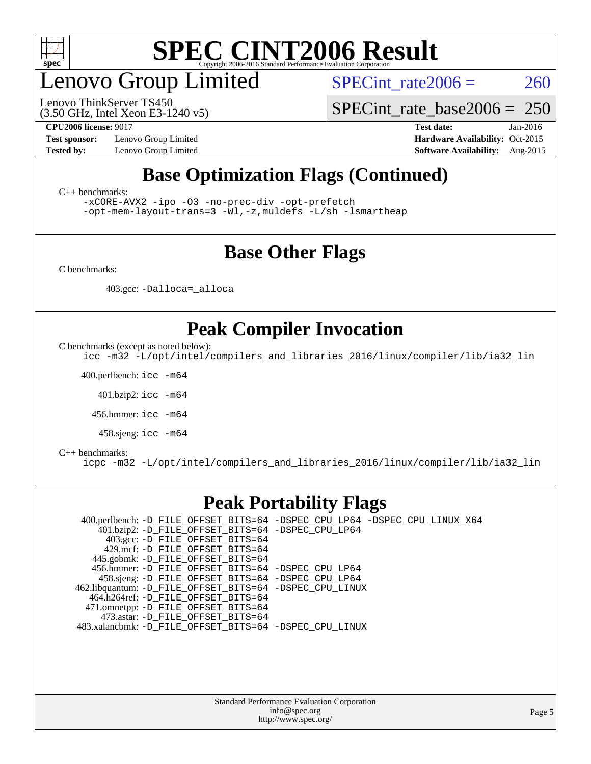

### enovo Group Limited

(3.50 GHz, Intel Xeon E3-1240 v5) Lenovo ThinkServer TS450

SPECint rate $2006 = 260$ 

[SPECint\\_rate\\_base2006 =](http://www.spec.org/auto/cpu2006/Docs/result-fields.html#SPECintratebase2006) 250

**[Test sponsor:](http://www.spec.org/auto/cpu2006/Docs/result-fields.html#Testsponsor)** Lenovo Group Limited **[Hardware Availability:](http://www.spec.org/auto/cpu2006/Docs/result-fields.html#HardwareAvailability)** Oct-2015

**[CPU2006 license:](http://www.spec.org/auto/cpu2006/Docs/result-fields.html#CPU2006license)** 9017 **[Test date:](http://www.spec.org/auto/cpu2006/Docs/result-fields.html#Testdate)** Jan-2016 **[Tested by:](http://www.spec.org/auto/cpu2006/Docs/result-fields.html#Testedby)** Lenovo Group Limited **[Software Availability:](http://www.spec.org/auto/cpu2006/Docs/result-fields.html#SoftwareAvailability)** Aug-2015

#### **[Base Optimization Flags \(Continued\)](http://www.spec.org/auto/cpu2006/Docs/result-fields.html#BaseOptimizationFlags)**

[C++ benchmarks:](http://www.spec.org/auto/cpu2006/Docs/result-fields.html#CXXbenchmarks)

[-xCORE-AVX2](http://www.spec.org/cpu2006/results/res2016q1/cpu2006-20160125-38903.flags.html#user_CXXbase_f-xAVX2_5f5fc0cbe2c9f62c816d3e45806c70d7) [-ipo](http://www.spec.org/cpu2006/results/res2016q1/cpu2006-20160125-38903.flags.html#user_CXXbase_f-ipo) [-O3](http://www.spec.org/cpu2006/results/res2016q1/cpu2006-20160125-38903.flags.html#user_CXXbase_f-O3) [-no-prec-div](http://www.spec.org/cpu2006/results/res2016q1/cpu2006-20160125-38903.flags.html#user_CXXbase_f-no-prec-div) [-opt-prefetch](http://www.spec.org/cpu2006/results/res2016q1/cpu2006-20160125-38903.flags.html#user_CXXbase_f-opt-prefetch)

[-opt-mem-layout-trans=3](http://www.spec.org/cpu2006/results/res2016q1/cpu2006-20160125-38903.flags.html#user_CXXbase_f-opt-mem-layout-trans_a7b82ad4bd7abf52556d4961a2ae94d5) [-Wl,-z,muldefs](http://www.spec.org/cpu2006/results/res2016q1/cpu2006-20160125-38903.flags.html#user_CXXbase_link_force_multiple1_74079c344b956b9658436fd1b6dd3a8a) [-L/sh -lsmartheap](http://www.spec.org/cpu2006/results/res2016q1/cpu2006-20160125-38903.flags.html#user_CXXbase_SmartHeap_32f6c82aa1ed9c52345d30cf6e4a0499)

#### **[Base Other Flags](http://www.spec.org/auto/cpu2006/Docs/result-fields.html#BaseOtherFlags)**

[C benchmarks](http://www.spec.org/auto/cpu2006/Docs/result-fields.html#Cbenchmarks):

403.gcc: [-Dalloca=\\_alloca](http://www.spec.org/cpu2006/results/res2016q1/cpu2006-20160125-38903.flags.html#b403.gcc_baseEXTRA_CFLAGS_Dalloca_be3056838c12de2578596ca5467af7f3)

#### **[Peak Compiler Invocation](http://www.spec.org/auto/cpu2006/Docs/result-fields.html#PeakCompilerInvocation)**

[C benchmarks \(except as noted below\)](http://www.spec.org/auto/cpu2006/Docs/result-fields.html#Cbenchmarksexceptasnotedbelow):

[icc -m32 -L/opt/intel/compilers\\_and\\_libraries\\_2016/linux/compiler/lib/ia32\\_lin](http://www.spec.org/cpu2006/results/res2016q1/cpu2006-20160125-38903.flags.html#user_CCpeak_intel_icc_e10256ba5924b668798078a321b0cb3f)

400.perlbench: [icc -m64](http://www.spec.org/cpu2006/results/res2016q1/cpu2006-20160125-38903.flags.html#user_peakCCLD400_perlbench_intel_icc_64bit_bda6cc9af1fdbb0edc3795bac97ada53)

401.bzip2: [icc -m64](http://www.spec.org/cpu2006/results/res2016q1/cpu2006-20160125-38903.flags.html#user_peakCCLD401_bzip2_intel_icc_64bit_bda6cc9af1fdbb0edc3795bac97ada53)

456.hmmer: [icc -m64](http://www.spec.org/cpu2006/results/res2016q1/cpu2006-20160125-38903.flags.html#user_peakCCLD456_hmmer_intel_icc_64bit_bda6cc9af1fdbb0edc3795bac97ada53)

458.sjeng: [icc -m64](http://www.spec.org/cpu2006/results/res2016q1/cpu2006-20160125-38903.flags.html#user_peakCCLD458_sjeng_intel_icc_64bit_bda6cc9af1fdbb0edc3795bac97ada53)

#### [C++ benchmarks:](http://www.spec.org/auto/cpu2006/Docs/result-fields.html#CXXbenchmarks)

[icpc -m32 -L/opt/intel/compilers\\_and\\_libraries\\_2016/linux/compiler/lib/ia32\\_lin](http://www.spec.org/cpu2006/results/res2016q1/cpu2006-20160125-38903.flags.html#user_CXXpeak_intel_icpc_b4f50a394bdb4597aa5879c16bc3f5c5)

#### **[Peak Portability Flags](http://www.spec.org/auto/cpu2006/Docs/result-fields.html#PeakPortabilityFlags)**

 400.perlbench: [-D\\_FILE\\_OFFSET\\_BITS=64](http://www.spec.org/cpu2006/results/res2016q1/cpu2006-20160125-38903.flags.html#user_peakPORTABILITY400_perlbench_file_offset_bits_64_438cf9856305ebd76870a2c6dc2689ab) [-DSPEC\\_CPU\\_LP64](http://www.spec.org/cpu2006/results/res2016q1/cpu2006-20160125-38903.flags.html#b400.perlbench_peakCPORTABILITY_DSPEC_CPU_LP64) [-DSPEC\\_CPU\\_LINUX\\_X64](http://www.spec.org/cpu2006/results/res2016q1/cpu2006-20160125-38903.flags.html#b400.perlbench_peakCPORTABILITY_DSPEC_CPU_LINUX_X64) 401.bzip2: [-D\\_FILE\\_OFFSET\\_BITS=64](http://www.spec.org/cpu2006/results/res2016q1/cpu2006-20160125-38903.flags.html#user_peakPORTABILITY401_bzip2_file_offset_bits_64_438cf9856305ebd76870a2c6dc2689ab) [-DSPEC\\_CPU\\_LP64](http://www.spec.org/cpu2006/results/res2016q1/cpu2006-20160125-38903.flags.html#suite_peakCPORTABILITY401_bzip2_DSPEC_CPU_LP64) 403.gcc: [-D\\_FILE\\_OFFSET\\_BITS=64](http://www.spec.org/cpu2006/results/res2016q1/cpu2006-20160125-38903.flags.html#user_peakPORTABILITY403_gcc_file_offset_bits_64_438cf9856305ebd76870a2c6dc2689ab) 429.mcf: [-D\\_FILE\\_OFFSET\\_BITS=64](http://www.spec.org/cpu2006/results/res2016q1/cpu2006-20160125-38903.flags.html#user_peakPORTABILITY429_mcf_file_offset_bits_64_438cf9856305ebd76870a2c6dc2689ab) 445.gobmk: [-D\\_FILE\\_OFFSET\\_BITS=64](http://www.spec.org/cpu2006/results/res2016q1/cpu2006-20160125-38903.flags.html#user_peakPORTABILITY445_gobmk_file_offset_bits_64_438cf9856305ebd76870a2c6dc2689ab) 456.hmmer: [-D\\_FILE\\_OFFSET\\_BITS=64](http://www.spec.org/cpu2006/results/res2016q1/cpu2006-20160125-38903.flags.html#user_peakPORTABILITY456_hmmer_file_offset_bits_64_438cf9856305ebd76870a2c6dc2689ab) [-DSPEC\\_CPU\\_LP64](http://www.spec.org/cpu2006/results/res2016q1/cpu2006-20160125-38903.flags.html#suite_peakCPORTABILITY456_hmmer_DSPEC_CPU_LP64) 458.sjeng: [-D\\_FILE\\_OFFSET\\_BITS=64](http://www.spec.org/cpu2006/results/res2016q1/cpu2006-20160125-38903.flags.html#user_peakPORTABILITY458_sjeng_file_offset_bits_64_438cf9856305ebd76870a2c6dc2689ab) [-DSPEC\\_CPU\\_LP64](http://www.spec.org/cpu2006/results/res2016q1/cpu2006-20160125-38903.flags.html#suite_peakCPORTABILITY458_sjeng_DSPEC_CPU_LP64) 462.libquantum: [-D\\_FILE\\_OFFSET\\_BITS=64](http://www.spec.org/cpu2006/results/res2016q1/cpu2006-20160125-38903.flags.html#user_peakPORTABILITY462_libquantum_file_offset_bits_64_438cf9856305ebd76870a2c6dc2689ab) [-DSPEC\\_CPU\\_LINUX](http://www.spec.org/cpu2006/results/res2016q1/cpu2006-20160125-38903.flags.html#b462.libquantum_peakCPORTABILITY_DSPEC_CPU_LINUX) 464.h264ref: [-D\\_FILE\\_OFFSET\\_BITS=64](http://www.spec.org/cpu2006/results/res2016q1/cpu2006-20160125-38903.flags.html#user_peakPORTABILITY464_h264ref_file_offset_bits_64_438cf9856305ebd76870a2c6dc2689ab) 471.omnetpp: [-D\\_FILE\\_OFFSET\\_BITS=64](http://www.spec.org/cpu2006/results/res2016q1/cpu2006-20160125-38903.flags.html#user_peakPORTABILITY471_omnetpp_file_offset_bits_64_438cf9856305ebd76870a2c6dc2689ab) 473.astar: [-D\\_FILE\\_OFFSET\\_BITS=64](http://www.spec.org/cpu2006/results/res2016q1/cpu2006-20160125-38903.flags.html#user_peakPORTABILITY473_astar_file_offset_bits_64_438cf9856305ebd76870a2c6dc2689ab) 483.xalancbmk: [-D\\_FILE\\_OFFSET\\_BITS=64](http://www.spec.org/cpu2006/results/res2016q1/cpu2006-20160125-38903.flags.html#user_peakPORTABILITY483_xalancbmk_file_offset_bits_64_438cf9856305ebd76870a2c6dc2689ab) [-DSPEC\\_CPU\\_LINUX](http://www.spec.org/cpu2006/results/res2016q1/cpu2006-20160125-38903.flags.html#b483.xalancbmk_peakCXXPORTABILITY_DSPEC_CPU_LINUX)

> Standard Performance Evaluation Corporation [info@spec.org](mailto:info@spec.org) <http://www.spec.org/>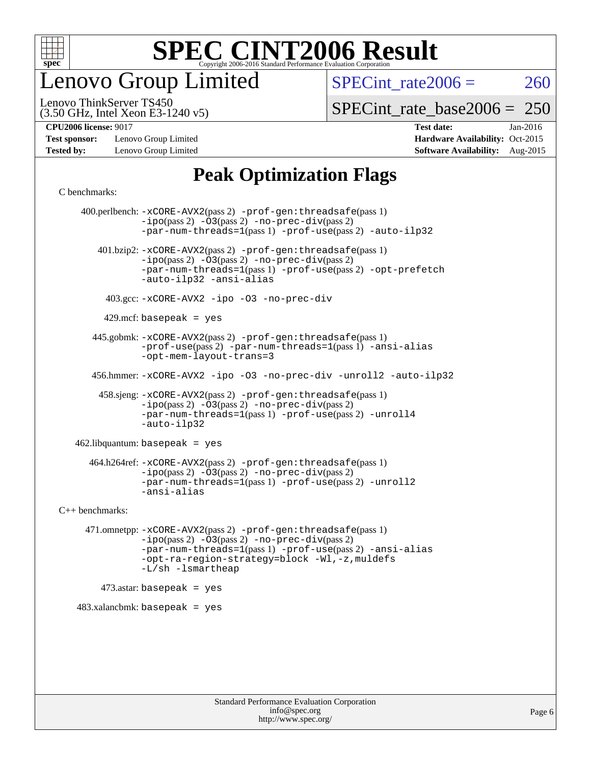

enovo Group Limited

SPECint rate $2006 = 260$ 

(3.50 GHz, Intel Xeon E3-1240 v5) Lenovo ThinkServer TS450

[SPECint\\_rate\\_base2006 =](http://www.spec.org/auto/cpu2006/Docs/result-fields.html#SPECintratebase2006) 250

**[Test sponsor:](http://www.spec.org/auto/cpu2006/Docs/result-fields.html#Testsponsor)** Lenovo Group Limited **[Hardware Availability:](http://www.spec.org/auto/cpu2006/Docs/result-fields.html#HardwareAvailability)** Oct-2015

**[CPU2006 license:](http://www.spec.org/auto/cpu2006/Docs/result-fields.html#CPU2006license)** 9017 **[Test date:](http://www.spec.org/auto/cpu2006/Docs/result-fields.html#Testdate)** Jan-2016 **[Tested by:](http://www.spec.org/auto/cpu2006/Docs/result-fields.html#Testedby)** Lenovo Group Limited **[Software Availability:](http://www.spec.org/auto/cpu2006/Docs/result-fields.html#SoftwareAvailability)** Aug-2015

#### **[Peak Optimization Flags](http://www.spec.org/auto/cpu2006/Docs/result-fields.html#PeakOptimizationFlags)**

[C benchmarks](http://www.spec.org/auto/cpu2006/Docs/result-fields.html#Cbenchmarks):

 400.perlbench: [-xCORE-AVX2](http://www.spec.org/cpu2006/results/res2016q1/cpu2006-20160125-38903.flags.html#user_peakPASS2_CFLAGSPASS2_LDCFLAGS400_perlbench_f-xAVX2_5f5fc0cbe2c9f62c816d3e45806c70d7)(pass 2) [-prof-gen:threadsafe](http://www.spec.org/cpu2006/results/res2016q1/cpu2006-20160125-38903.flags.html#user_peakPASS1_CFLAGSPASS1_LDCFLAGS400_perlbench_prof_gen_21a26eb79f378b550acd7bec9fe4467a)(pass 1)  $-i\text{po}(pass 2) -\overline{03}(pass 2)$  [-no-prec-div](http://www.spec.org/cpu2006/results/res2016q1/cpu2006-20160125-38903.flags.html#user_peakPASS2_CFLAGSPASS2_LDCFLAGS400_perlbench_f-no-prec-div)(pass 2) [-par-num-threads=1](http://www.spec.org/cpu2006/results/res2016q1/cpu2006-20160125-38903.flags.html#user_peakPASS1_CFLAGSPASS1_LDCFLAGS400_perlbench_par_num_threads_786a6ff141b4e9e90432e998842df6c2)(pass 1) [-prof-use](http://www.spec.org/cpu2006/results/res2016q1/cpu2006-20160125-38903.flags.html#user_peakPASS2_CFLAGSPASS2_LDCFLAGS400_perlbench_prof_use_bccf7792157ff70d64e32fe3e1250b55)(pass 2) [-auto-ilp32](http://www.spec.org/cpu2006/results/res2016q1/cpu2006-20160125-38903.flags.html#user_peakCOPTIMIZE400_perlbench_f-auto-ilp32) 401.bzip2: [-xCORE-AVX2](http://www.spec.org/cpu2006/results/res2016q1/cpu2006-20160125-38903.flags.html#user_peakPASS2_CFLAGSPASS2_LDCFLAGS401_bzip2_f-xAVX2_5f5fc0cbe2c9f62c816d3e45806c70d7)(pass 2) [-prof-gen:threadsafe](http://www.spec.org/cpu2006/results/res2016q1/cpu2006-20160125-38903.flags.html#user_peakPASS1_CFLAGSPASS1_LDCFLAGS401_bzip2_prof_gen_21a26eb79f378b550acd7bec9fe4467a)(pass 1)  $-ipo(pass 2)$  $-ipo(pass 2)$   $-03(pass 2)$   $-no-prec-div(pass 2)$  $-no-prec-div(pass 2)$ [-par-num-threads=1](http://www.spec.org/cpu2006/results/res2016q1/cpu2006-20160125-38903.flags.html#user_peakPASS1_CFLAGSPASS1_LDCFLAGS401_bzip2_par_num_threads_786a6ff141b4e9e90432e998842df6c2)(pass 1) [-prof-use](http://www.spec.org/cpu2006/results/res2016q1/cpu2006-20160125-38903.flags.html#user_peakPASS2_CFLAGSPASS2_LDCFLAGS401_bzip2_prof_use_bccf7792157ff70d64e32fe3e1250b55)(pass 2) [-opt-prefetch](http://www.spec.org/cpu2006/results/res2016q1/cpu2006-20160125-38903.flags.html#user_peakCOPTIMIZE401_bzip2_f-opt-prefetch) [-auto-ilp32](http://www.spec.org/cpu2006/results/res2016q1/cpu2006-20160125-38903.flags.html#user_peakCOPTIMIZE401_bzip2_f-auto-ilp32) [-ansi-alias](http://www.spec.org/cpu2006/results/res2016q1/cpu2006-20160125-38903.flags.html#user_peakCOPTIMIZE401_bzip2_f-ansi-alias) 403.gcc: [-xCORE-AVX2](http://www.spec.org/cpu2006/results/res2016q1/cpu2006-20160125-38903.flags.html#user_peakCOPTIMIZE403_gcc_f-xAVX2_5f5fc0cbe2c9f62c816d3e45806c70d7) [-ipo](http://www.spec.org/cpu2006/results/res2016q1/cpu2006-20160125-38903.flags.html#user_peakCOPTIMIZE403_gcc_f-ipo) [-O3](http://www.spec.org/cpu2006/results/res2016q1/cpu2006-20160125-38903.flags.html#user_peakCOPTIMIZE403_gcc_f-O3) [-no-prec-div](http://www.spec.org/cpu2006/results/res2016q1/cpu2006-20160125-38903.flags.html#user_peakCOPTIMIZE403_gcc_f-no-prec-div) 429.mcf: basepeak = yes 445.gobmk: [-xCORE-AVX2](http://www.spec.org/cpu2006/results/res2016q1/cpu2006-20160125-38903.flags.html#user_peakPASS2_CFLAGSPASS2_LDCFLAGS445_gobmk_f-xAVX2_5f5fc0cbe2c9f62c816d3e45806c70d7)(pass 2) [-prof-gen:threadsafe](http://www.spec.org/cpu2006/results/res2016q1/cpu2006-20160125-38903.flags.html#user_peakPASS1_CFLAGSPASS1_LDCFLAGS445_gobmk_prof_gen_21a26eb79f378b550acd7bec9fe4467a)(pass 1) [-prof-use](http://www.spec.org/cpu2006/results/res2016q1/cpu2006-20160125-38903.flags.html#user_peakPASS2_CFLAGSPASS2_LDCFLAGS445_gobmk_prof_use_bccf7792157ff70d64e32fe3e1250b55)(pass 2) [-par-num-threads=1](http://www.spec.org/cpu2006/results/res2016q1/cpu2006-20160125-38903.flags.html#user_peakPASS1_CFLAGSPASS1_LDCFLAGS445_gobmk_par_num_threads_786a6ff141b4e9e90432e998842df6c2)(pass 1) [-ansi-alias](http://www.spec.org/cpu2006/results/res2016q1/cpu2006-20160125-38903.flags.html#user_peakCOPTIMIZE445_gobmk_f-ansi-alias) [-opt-mem-layout-trans=3](http://www.spec.org/cpu2006/results/res2016q1/cpu2006-20160125-38903.flags.html#user_peakCOPTIMIZE445_gobmk_f-opt-mem-layout-trans_a7b82ad4bd7abf52556d4961a2ae94d5) 456.hmmer: [-xCORE-AVX2](http://www.spec.org/cpu2006/results/res2016q1/cpu2006-20160125-38903.flags.html#user_peakCOPTIMIZE456_hmmer_f-xAVX2_5f5fc0cbe2c9f62c816d3e45806c70d7) [-ipo](http://www.spec.org/cpu2006/results/res2016q1/cpu2006-20160125-38903.flags.html#user_peakCOPTIMIZE456_hmmer_f-ipo) [-O3](http://www.spec.org/cpu2006/results/res2016q1/cpu2006-20160125-38903.flags.html#user_peakCOPTIMIZE456_hmmer_f-O3) [-no-prec-div](http://www.spec.org/cpu2006/results/res2016q1/cpu2006-20160125-38903.flags.html#user_peakCOPTIMIZE456_hmmer_f-no-prec-div) [-unroll2](http://www.spec.org/cpu2006/results/res2016q1/cpu2006-20160125-38903.flags.html#user_peakCOPTIMIZE456_hmmer_f-unroll_784dae83bebfb236979b41d2422d7ec2) [-auto-ilp32](http://www.spec.org/cpu2006/results/res2016q1/cpu2006-20160125-38903.flags.html#user_peakCOPTIMIZE456_hmmer_f-auto-ilp32) 458.sjeng: [-xCORE-AVX2](http://www.spec.org/cpu2006/results/res2016q1/cpu2006-20160125-38903.flags.html#user_peakPASS2_CFLAGSPASS2_LDCFLAGS458_sjeng_f-xAVX2_5f5fc0cbe2c9f62c816d3e45806c70d7)(pass 2) [-prof-gen:threadsafe](http://www.spec.org/cpu2006/results/res2016q1/cpu2006-20160125-38903.flags.html#user_peakPASS1_CFLAGSPASS1_LDCFLAGS458_sjeng_prof_gen_21a26eb79f378b550acd7bec9fe4467a)(pass 1)  $-i\text{po}(pass 2)$  - $\overline{O}3(pass 2)$  -no- $prec\text{-div}(pass 2)$ [-par-num-threads=1](http://www.spec.org/cpu2006/results/res2016q1/cpu2006-20160125-38903.flags.html#user_peakPASS1_CFLAGSPASS1_LDCFLAGS458_sjeng_par_num_threads_786a6ff141b4e9e90432e998842df6c2)(pass 1) [-prof-use](http://www.spec.org/cpu2006/results/res2016q1/cpu2006-20160125-38903.flags.html#user_peakPASS2_CFLAGSPASS2_LDCFLAGS458_sjeng_prof_use_bccf7792157ff70d64e32fe3e1250b55)(pass 2) [-unroll4](http://www.spec.org/cpu2006/results/res2016q1/cpu2006-20160125-38903.flags.html#user_peakCOPTIMIZE458_sjeng_f-unroll_4e5e4ed65b7fd20bdcd365bec371b81f) [-auto-ilp32](http://www.spec.org/cpu2006/results/res2016q1/cpu2006-20160125-38903.flags.html#user_peakCOPTIMIZE458_sjeng_f-auto-ilp32) 462.libquantum: basepeak = yes 464.h264ref: [-xCORE-AVX2](http://www.spec.org/cpu2006/results/res2016q1/cpu2006-20160125-38903.flags.html#user_peakPASS2_CFLAGSPASS2_LDCFLAGS464_h264ref_f-xAVX2_5f5fc0cbe2c9f62c816d3e45806c70d7)(pass 2) [-prof-gen:threadsafe](http://www.spec.org/cpu2006/results/res2016q1/cpu2006-20160125-38903.flags.html#user_peakPASS1_CFLAGSPASS1_LDCFLAGS464_h264ref_prof_gen_21a26eb79f378b550acd7bec9fe4467a)(pass 1) [-ipo](http://www.spec.org/cpu2006/results/res2016q1/cpu2006-20160125-38903.flags.html#user_peakPASS2_CFLAGSPASS2_LDCFLAGS464_h264ref_f-ipo)(pass 2) [-O3](http://www.spec.org/cpu2006/results/res2016q1/cpu2006-20160125-38903.flags.html#user_peakPASS2_CFLAGSPASS2_LDCFLAGS464_h264ref_f-O3)(pass 2) [-no-prec-div](http://www.spec.org/cpu2006/results/res2016q1/cpu2006-20160125-38903.flags.html#user_peakPASS2_CFLAGSPASS2_LDCFLAGS464_h264ref_f-no-prec-div)(pass 2) [-par-num-threads=1](http://www.spec.org/cpu2006/results/res2016q1/cpu2006-20160125-38903.flags.html#user_peakPASS1_CFLAGSPASS1_LDCFLAGS464_h264ref_par_num_threads_786a6ff141b4e9e90432e998842df6c2)(pass 1) [-prof-use](http://www.spec.org/cpu2006/results/res2016q1/cpu2006-20160125-38903.flags.html#user_peakPASS2_CFLAGSPASS2_LDCFLAGS464_h264ref_prof_use_bccf7792157ff70d64e32fe3e1250b55)(pass 2) [-unroll2](http://www.spec.org/cpu2006/results/res2016q1/cpu2006-20160125-38903.flags.html#user_peakCOPTIMIZE464_h264ref_f-unroll_784dae83bebfb236979b41d2422d7ec2) [-ansi-alias](http://www.spec.org/cpu2006/results/res2016q1/cpu2006-20160125-38903.flags.html#user_peakCOPTIMIZE464_h264ref_f-ansi-alias) [C++ benchmarks:](http://www.spec.org/auto/cpu2006/Docs/result-fields.html#CXXbenchmarks) 471.omnetpp: [-xCORE-AVX2](http://www.spec.org/cpu2006/results/res2016q1/cpu2006-20160125-38903.flags.html#user_peakPASS2_CXXFLAGSPASS2_LDCXXFLAGS471_omnetpp_f-xAVX2_5f5fc0cbe2c9f62c816d3e45806c70d7)(pass 2) [-prof-gen:threadsafe](http://www.spec.org/cpu2006/results/res2016q1/cpu2006-20160125-38903.flags.html#user_peakPASS1_CXXFLAGSPASS1_LDCXXFLAGS471_omnetpp_prof_gen_21a26eb79f378b550acd7bec9fe4467a)(pass 1) [-ipo](http://www.spec.org/cpu2006/results/res2016q1/cpu2006-20160125-38903.flags.html#user_peakPASS2_CXXFLAGSPASS2_LDCXXFLAGS471_omnetpp_f-ipo)(pass 2) [-O3](http://www.spec.org/cpu2006/results/res2016q1/cpu2006-20160125-38903.flags.html#user_peakPASS2_CXXFLAGSPASS2_LDCXXFLAGS471_omnetpp_f-O3)(pass 2) [-no-prec-div](http://www.spec.org/cpu2006/results/res2016q1/cpu2006-20160125-38903.flags.html#user_peakPASS2_CXXFLAGSPASS2_LDCXXFLAGS471_omnetpp_f-no-prec-div)(pass 2) [-par-num-threads=1](http://www.spec.org/cpu2006/results/res2016q1/cpu2006-20160125-38903.flags.html#user_peakPASS1_CXXFLAGSPASS1_LDCXXFLAGS471_omnetpp_par_num_threads_786a6ff141b4e9e90432e998842df6c2)(pass 1) [-prof-use](http://www.spec.org/cpu2006/results/res2016q1/cpu2006-20160125-38903.flags.html#user_peakPASS2_CXXFLAGSPASS2_LDCXXFLAGS471_omnetpp_prof_use_bccf7792157ff70d64e32fe3e1250b55)(pass 2) [-ansi-alias](http://www.spec.org/cpu2006/results/res2016q1/cpu2006-20160125-38903.flags.html#user_peakCXXOPTIMIZE471_omnetpp_f-ansi-alias) [-opt-ra-region-strategy=block](http://www.spec.org/cpu2006/results/res2016q1/cpu2006-20160125-38903.flags.html#user_peakCXXOPTIMIZE471_omnetpp_f-opt-ra-region-strategy_a0a37c372d03933b2a18d4af463c1f69) [-Wl,-z,muldefs](http://www.spec.org/cpu2006/results/res2016q1/cpu2006-20160125-38903.flags.html#user_peakEXTRA_LDFLAGS471_omnetpp_link_force_multiple1_74079c344b956b9658436fd1b6dd3a8a) [-L/sh -lsmartheap](http://www.spec.org/cpu2006/results/res2016q1/cpu2006-20160125-38903.flags.html#user_peakEXTRA_LIBS471_omnetpp_SmartHeap_32f6c82aa1ed9c52345d30cf6e4a0499)  $473$ .astar: basepeak = yes 483.xalancbmk: basepeak = yes